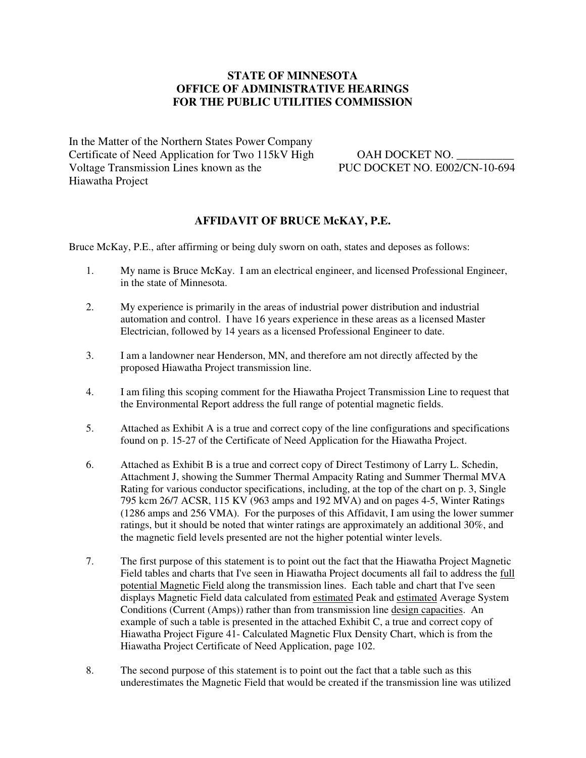#### **STATE OF MINNESOTA OFFICE OF ADMINISTRATIVE HEARINGS FOR THE PUBLIC UTILITIES COMMISSION**

In the Matter of the Northern States Power Company Certificate of Need Application for Two 115kV High OAH DOCKET NO. Voltage Transmission Lines known as the PUC DOCKET NO. E002/CN-10-694 Hiawatha Project

#### **AFFIDAVIT OF BRUCE McKAY, P.E.**

Bruce McKay, P.E., after affirming or being duly sworn on oath, states and deposes as follows:

- 1. My name is Bruce McKay. I am an electrical engineer, and licensed Professional Engineer, in the state of Minnesota.
- 2. My experience is primarily in the areas of industrial power distribution and industrial automation and control. I have 16 years experience in these areas as a licensed Master Electrician, followed by 14 years as a licensed Professional Engineer to date.
- 3. I am a landowner near Henderson, MN, and therefore am not directly affected by the proposed Hiawatha Project transmission line.
- 4. I am filing this scoping comment for the Hiawatha Project Transmission Line to request that the Environmental Report address the full range of potential magnetic fields.
- 5. Attached as Exhibit A is a true and correct copy of the line configurations and specifications found on p. 15-27 of the Certificate of Need Application for the Hiawatha Project.
- 6. Attached as Exhibit B is a true and correct copy of Direct Testimony of Larry L. Schedin, Attachment J, showing the Summer Thermal Ampacity Rating and Summer Thermal MVA Rating for various conductor specifications, including, at the top of the chart on p. 3, Single 795 kcm 26/7 ACSR, 115 KV (963 amps and 192 MVA) and on pages 4-5, Winter Ratings (1286 amps and 256 VMA). For the purposes of this Affidavit, I am using the lower summer ratings, but it should be noted that winter ratings are approximately an additional 30%, and the magnetic field levels presented are not the higher potential winter levels.
- 7. The first purpose of this statement is to point out the fact that the Hiawatha Project Magnetic Field tables and charts that I've seen in Hiawatha Project documents all fail to address the full potential Magnetic Field along the transmission lines. Each table and chart that I've seen displays Magnetic Field data calculated from estimated Peak and estimated Average System Conditions (Current (Amps)) rather than from transmission line design capacities. An example of such a table is presented in the attached Exhibit C, a true and correct copy of Hiawatha Project Figure 41- Calculated Magnetic Flux Density Chart, which is from the Hiawatha Project Certificate of Need Application, page 102.
- 8. The second purpose of this statement is to point out the fact that a table such as this underestimates the Magnetic Field that would be created if the transmission line was utilized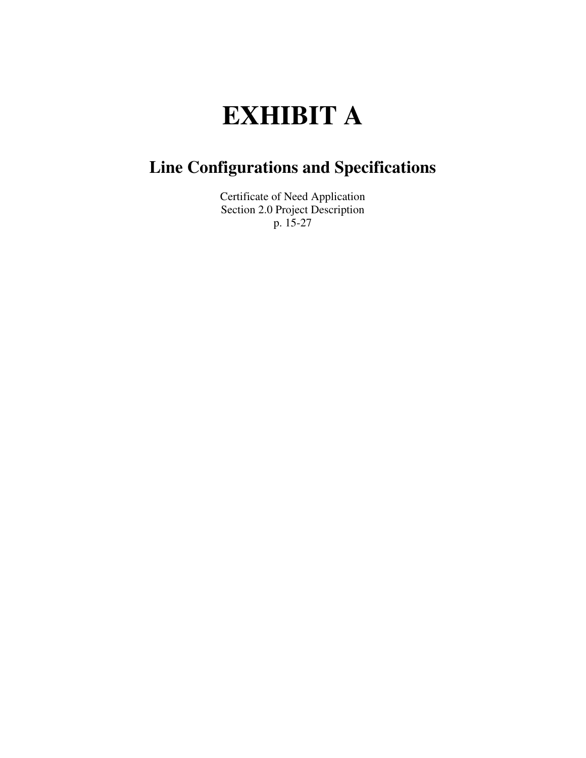# **EXHIBIT A**

# **Line Configurations and Specifications**

Certificate of Need Application Section 2.0 Project Description p. 15-27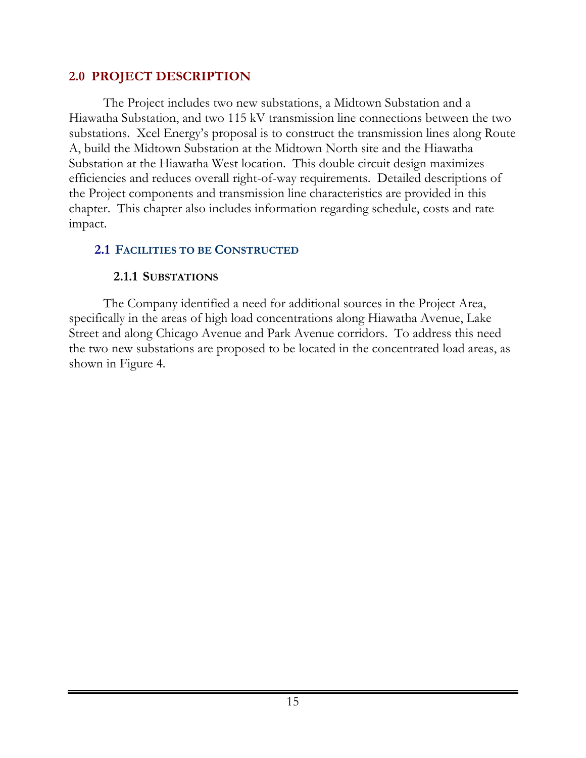#### **2.0 PROJECT DESCRIPTION**

The Project includes two new substations, a Midtown Substation and a Hiawatha Substation, and two 115 kV transmission line connections between the two substations. Xcel Energy's proposal is to construct the transmission lines along Route A, build the Midtown Substation at the Midtown North site and the Hiawatha Substation at the Hiawatha West location. This double circuit design maximizes efficiencies and reduces overall right-of-way requirements. Detailed descriptions of the Project components and transmission line characteristics are provided in this chapter. This chapter also includes information regarding schedule, costs and rate impact.

#### **2.1 FACILITIES TO BE CONSTRUCTED**

#### **2.1.1 SUBSTATIONS**

The Company identified a need for additional sources in the Project Area, specifically in the areas of high load concentrations along Hiawatha Avenue, Lake Street and along Chicago Avenue and Park Avenue corridors. To address this need the two new substations are proposed to be located in the concentrated load areas, as shown in Figure 4.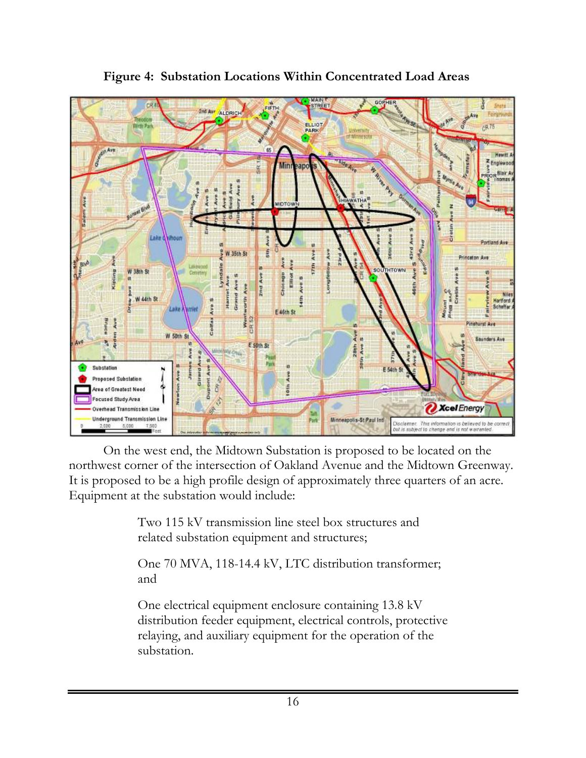

#### **Figure 4: Substation Locations Within Concentrated Load Areas**

On the west end, the Midtown Substation is proposed to be located on the northwest corner of the intersection of Oakland Avenue and the Midtown Greenway. It is proposed to be a high profile design of approximately three quarters of an acre. Equipment at the substation would include:

> Two 115 kV transmission line steel box structures and related substation equipment and structures;

One 70 MVA, 118-14.4 kV, LTC distribution transformer; and

One electrical equipment enclosure containing 13.8 kV distribution feeder equipment, electrical controls, protective relaying, and auxiliary equipment for the operation of the substation.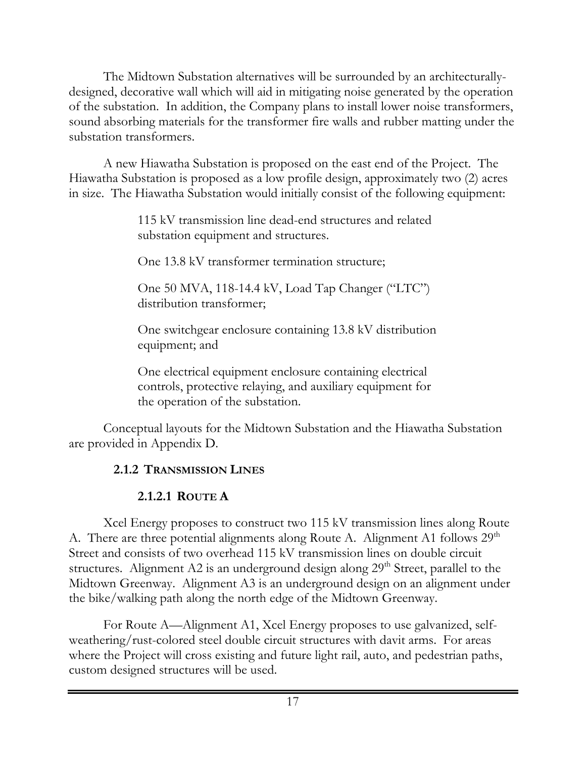The Midtown Substation alternatives will be surrounded by an architecturallydesigned, decorative wall which will aid in mitigating noise generated by the operation of the substation. In addition, the Company plans to install lower noise transformers, sound absorbing materials for the transformer fire walls and rubber matting under the substation transformers.

A new Hiawatha Substation is proposed on the east end of the Project. The Hiawatha Substation is proposed as a low profile design, approximately two (2) acres in size. The Hiawatha Substation would initially consist of the following equipment:

> 115 kV transmission line dead-end structures and related substation equipment and structures.

One 13.8 kV transformer termination structure;

One 50 MVA, 118-14.4 kV, Load Tap Changer ("LTC") distribution transformer;

One switchgear enclosure containing 13.8 kV distribution equipment; and

One electrical equipment enclosure containing electrical controls, protective relaying, and auxiliary equipment for the operation of the substation.

Conceptual layouts for the Midtown Substation and the Hiawatha Substation are provided in Appendix D.

#### **2.1.2 TRANSMISSION LINES**

#### **2.1.2.1 ROUTE A**

Xcel Energy proposes to construct two 115 kV transmission lines along Route A. There are three potential alignments along Route A. Alignment A1 follows  $29<sup>th</sup>$ Street and consists of two overhead 115 kV transmission lines on double circuit structures. Alignment A2 is an underground design along 29<sup>th</sup> Street, parallel to the Midtown Greenway. Alignment A3 is an underground design on an alignment under the bike/walking path along the north edge of the Midtown Greenway.

For Route A—Alignment A1, Xcel Energy proposes to use galvanized, selfweathering/rust-colored steel double circuit structures with davit arms. For areas where the Project will cross existing and future light rail, auto, and pedestrian paths, custom designed structures will be used.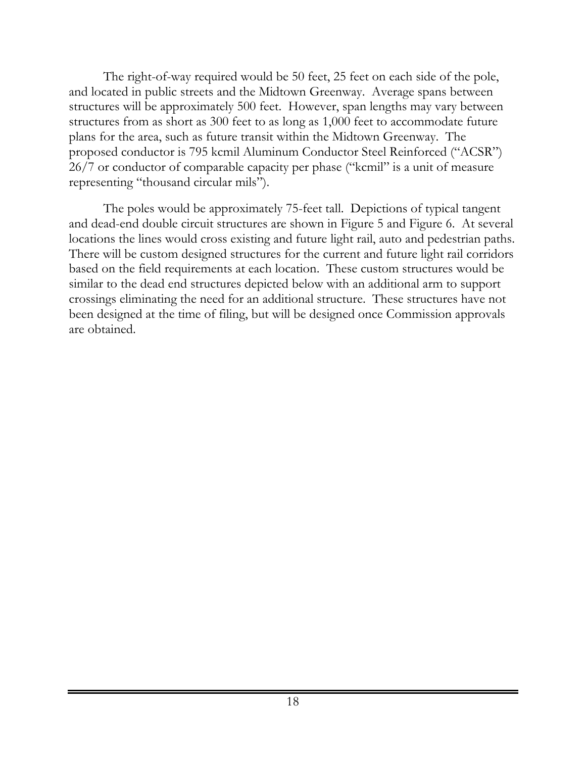The right-of-way required would be 50 feet, 25 feet on each side of the pole, and located in public streets and the Midtown Greenway. Average spans between structures will be approximately 500 feet. However, span lengths may vary between structures from as short as 300 feet to as long as 1,000 feet to accommodate future plans for the area, such as future transit within the Midtown Greenway. The proposed conductor is 795 kcmil Aluminum Conductor Steel Reinforced ("ACSR") 26/7 or conductor of comparable capacity per phase ("kcmil" is a unit of measure representing "thousand circular mils").

The poles would be approximately 75-feet tall. Depictions of typical tangent and dead-end double circuit structures are shown in Figure 5 and Figure 6. At several locations the lines would cross existing and future light rail, auto and pedestrian paths. There will be custom designed structures for the current and future light rail corridors based on the field requirements at each location. These custom structures would be similar to the dead end structures depicted below with an additional arm to support crossings eliminating the need for an additional structure. These structures have not been designed at the time of filing, but will be designed once Commission approvals are obtained.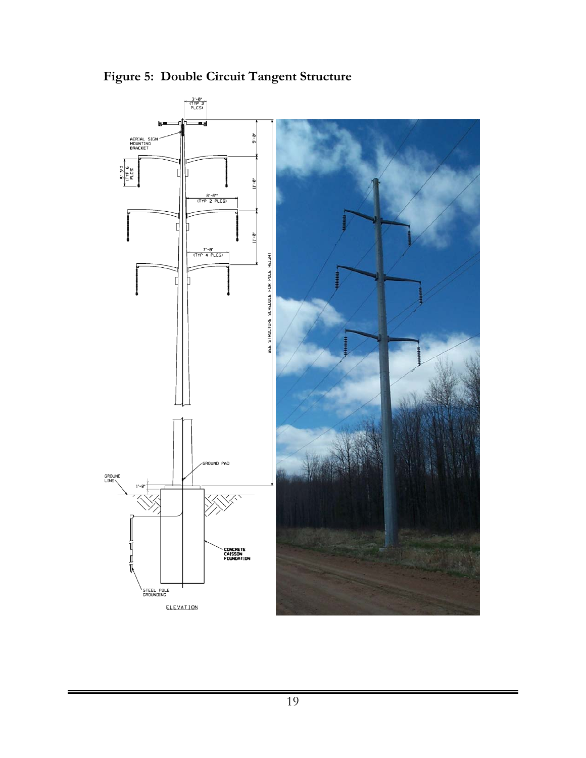

**Figure 5: Double Circuit Tangent Structure**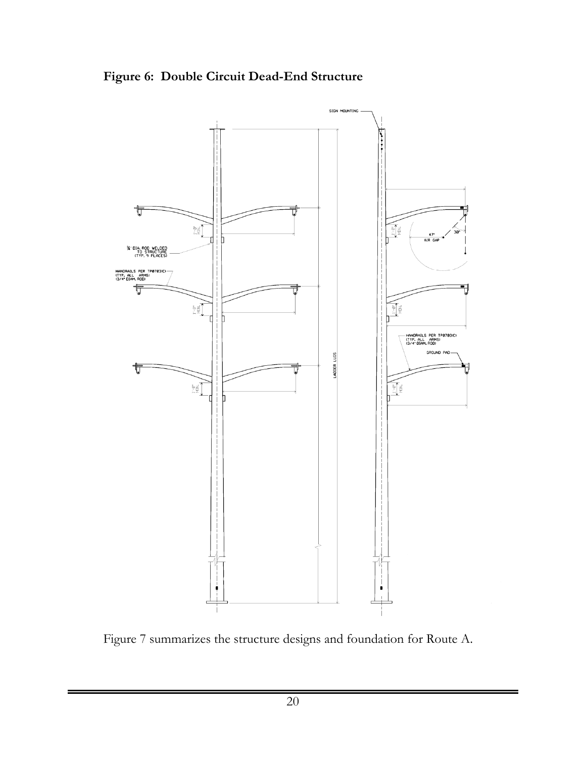**Figure 6: Double Circuit Dead-End Structure** 



Figure 7 summarizes the structure designs and foundation for Route A.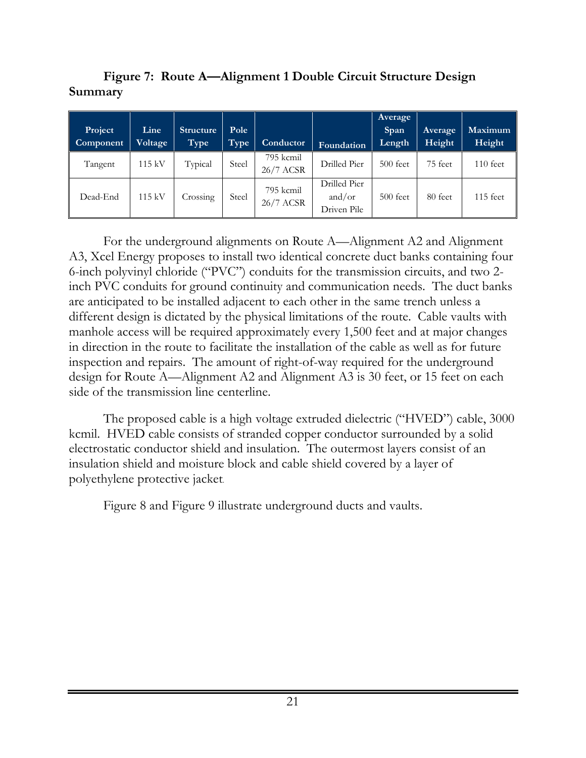**Figure 7: Route A—Alignment 1 Double Circuit Structure Design Summary** 

| Project<br>Component | Line<br>Voltage | <b>Structure</b><br>Type | Pole<br>Type | <b>Conductor</b>       | Foundation                            | Average<br>Span<br>Length | Average<br>Height | Maximum<br>Height |
|----------------------|-----------------|--------------------------|--------------|------------------------|---------------------------------------|---------------------------|-------------------|-------------------|
| Tangent              | 115 kV          | Typical                  | Steel        | 795 kcmil<br>26/7 ACSR | Drilled Pier                          | $500$ feet                | 75 feet           | $110$ feet        |
| Dead-End             | 115 kV          | Crossing                 | Steel        | 795 kcmil<br>26/7 ACSR | Drilled Pier<br>and/or<br>Driven Pile | $500$ feet                | 80 feet           | $115$ feet        |

For the underground alignments on Route A—Alignment A2 and Alignment A3, Xcel Energy proposes to install two identical concrete duct banks containing four 6-inch polyvinyl chloride ("PVC") conduits for the transmission circuits, and two 2 inch PVC conduits for ground continuity and communication needs. The duct banks are anticipated to be installed adjacent to each other in the same trench unless a different design is dictated by the physical limitations of the route. Cable vaults with manhole access will be required approximately every 1,500 feet and at major changes in direction in the route to facilitate the installation of the cable as well as for future inspection and repairs. The amount of right-of-way required for the underground design for Route A—Alignment A2 and Alignment A3 is 30 feet, or 15 feet on each side of the transmission line centerline.

The proposed cable is a high voltage extruded dielectric ("HVED") cable, 3000 kcmil. HVED cable consists of stranded copper conductor surrounded by a solid electrostatic conductor shield and insulation. The outermost layers consist of an insulation shield and moisture block and cable shield covered by a layer of polyethylene protective jacket.

Figure 8 and Figure 9 illustrate underground ducts and vaults.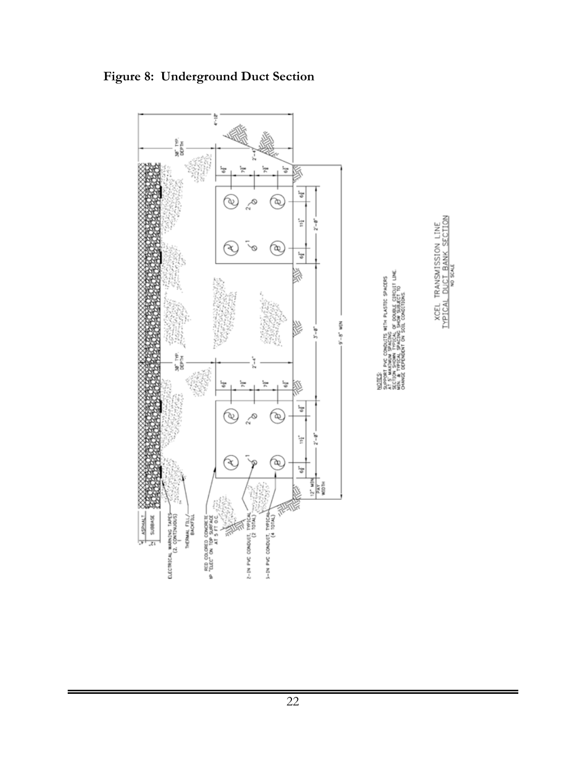

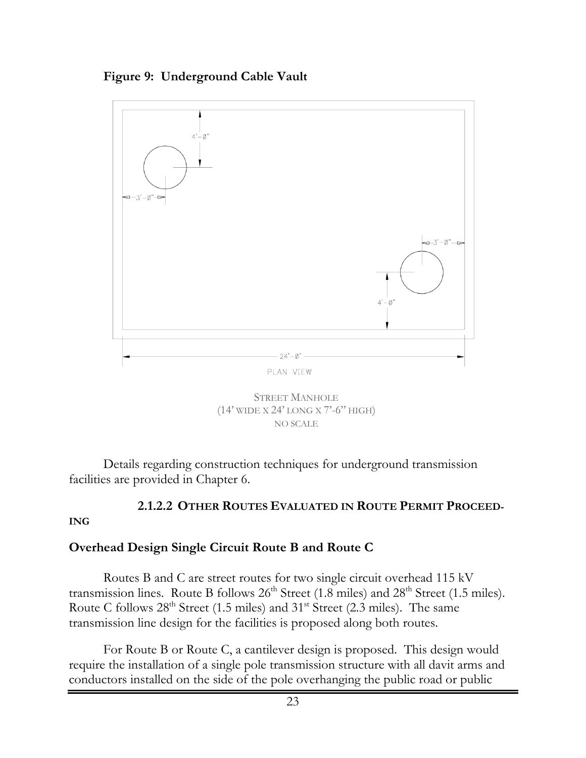





Details regarding construction techniques for underground transmission facilities are provided in Chapter 6.

#### **2.1.2.2 OTHER ROUTES EVALUATED IN ROUTE PERMIT PROCEED-**

#### **ING**

#### **Overhead Design Single Circuit Route B and Route C**

Routes B and C are street routes for two single circuit overhead 115 kV transmission lines. Route B follows  $26<sup>th</sup>$  Street (1.8 miles) and  $28<sup>th</sup>$  Street (1.5 miles). Route C follows  $28<sup>th</sup>$  Street (1.5 miles) and  $31<sup>st</sup>$  Street (2.3 miles). The same transmission line design for the facilities is proposed along both routes.

For Route B or Route C, a cantilever design is proposed. This design would require the installation of a single pole transmission structure with all davit arms and conductors installed on the side of the pole overhanging the public road or public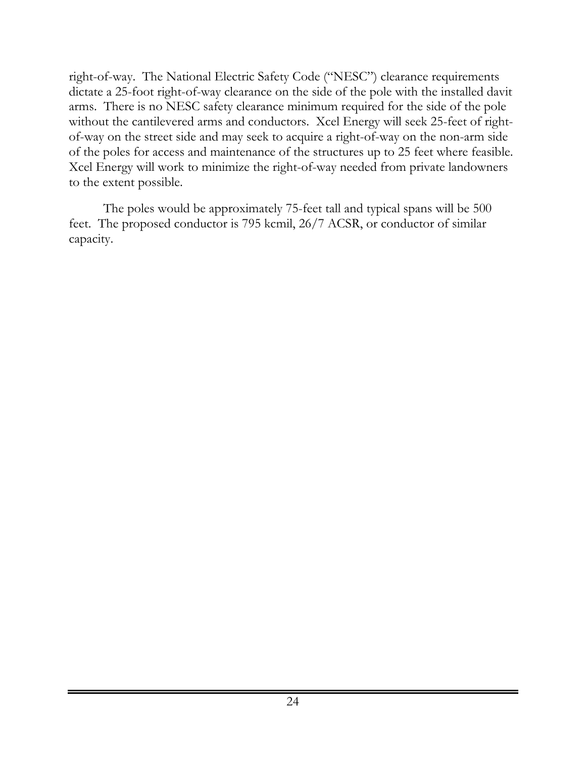right-of-way. The National Electric Safety Code ("NESC") clearance requirements dictate a 25-foot right-of-way clearance on the side of the pole with the installed davit arms. There is no NESC safety clearance minimum required for the side of the pole without the cantilevered arms and conductors. Xcel Energy will seek 25-feet of rightof-way on the street side and may seek to acquire a right-of-way on the non-arm side of the poles for access and maintenance of the structures up to 25 feet where feasible. Xcel Energy will work to minimize the right-of-way needed from private landowners to the extent possible.

The poles would be approximately 75-feet tall and typical spans will be 500 feet. The proposed conductor is 795 kcmil, 26/7 ACSR, or conductor of similar capacity.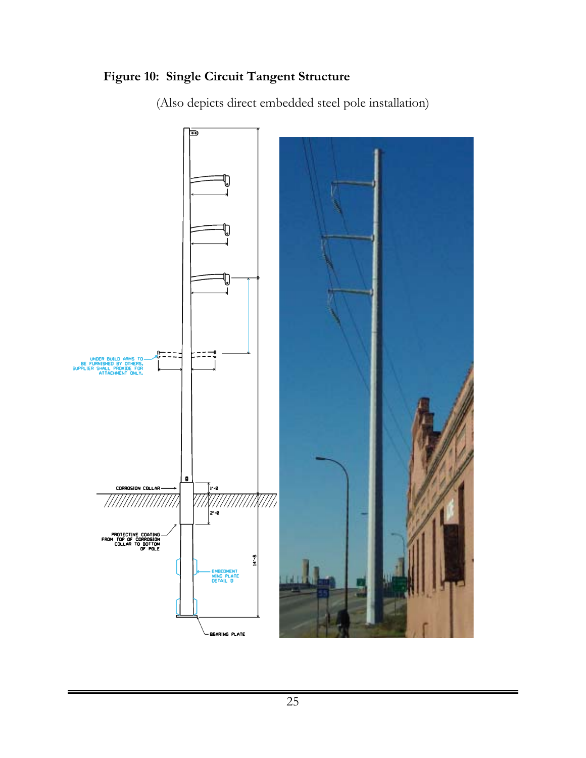### **Figure 10: Single Circuit Tangent Structure**

(Also depicts direct embedded steel pole installation)

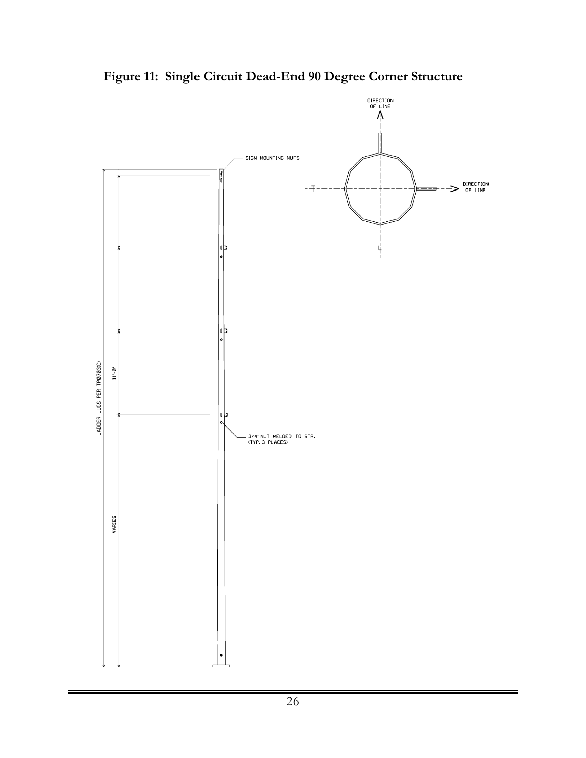

**Figure 11: Single Circuit Dead-End 90 Degree Corner Structure**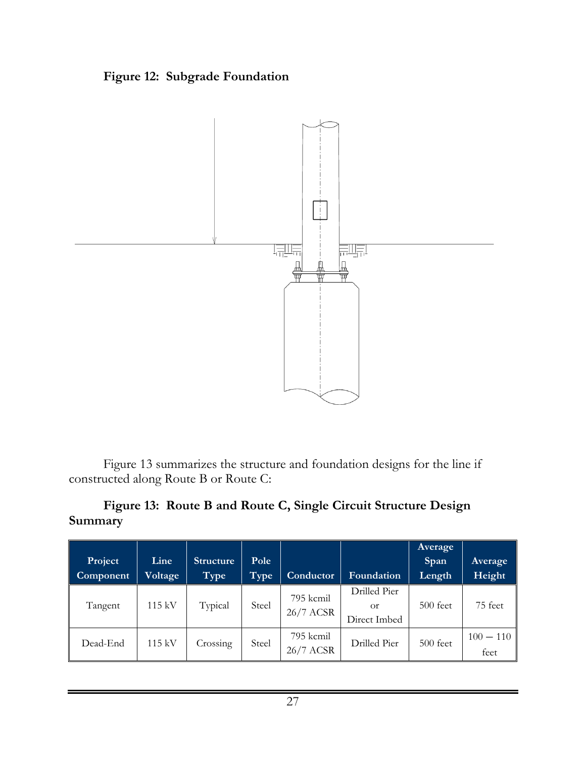### **Figure 12: Subgrade Foundation**



Figure 13 summarizes the structure and foundation designs for the line if constructed along Route B or Route C:

#### **Figure 13: Route B and Route C, Single Circuit Structure Design Summary**

|           |         |                  |       |           |              | <b>Average</b> |             |
|-----------|---------|------------------|-------|-----------|--------------|----------------|-------------|
| Project   | Line    | <b>Structure</b> | Pole  |           |              | Span           | Average     |
| Component | Voltage | Type             | Type  | Conductor | Foundation   | Length         | Height      |
|           |         |                  |       | 795 kcmil | Drilled Pier |                |             |
| Tangent   | 115 kV  | Typical          | Steel | 26/7 ACSR | Оr           | $500$ feet     | 75 feet     |
|           |         |                  |       |           | Direct Imbed |                |             |
| Dead-End  | 115 kV  |                  | Steel | 795 kcmil | Drilled Pier | $500$ feet     | $100 - 110$ |
|           |         | Crossing         |       | 26/7 ACSR |              |                | feet        |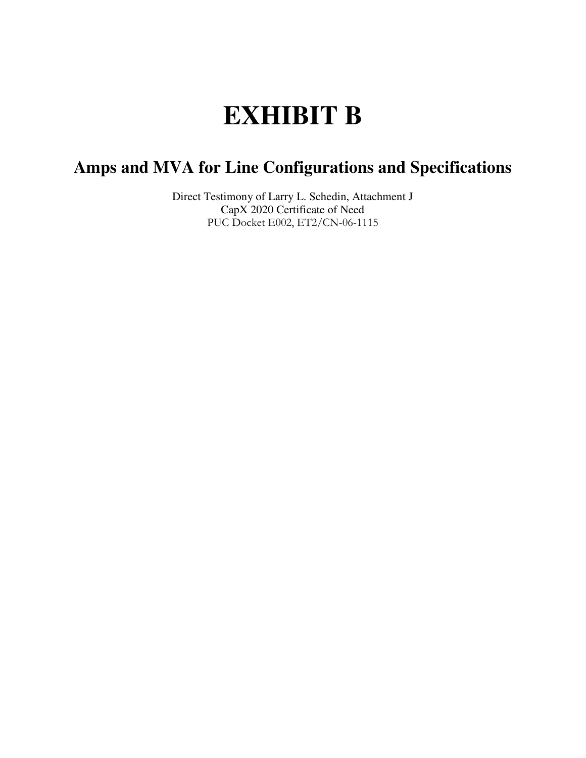# **EXHIBIT B**

### **Amps and MVA for Line Configurations and Specifications**

Direct Testimony of Larry L. Schedin, Attachment J CapX 2020 Certificate of Need PUC Docket E002, ET2/CN-06-1115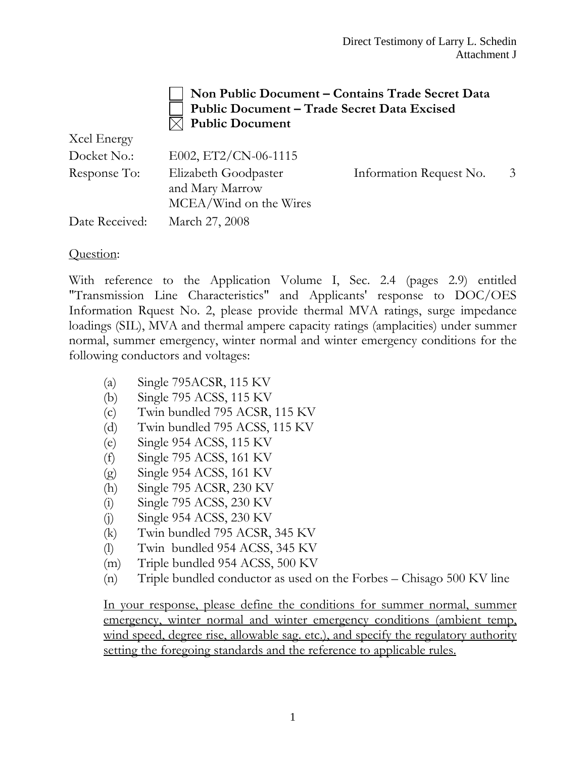#### **Non Public Document – Contains Trade Secret Data Public Document – Trade Secret Data Excised Public Document**

| Acel Energy    |                                                                   |                         |   |
|----------------|-------------------------------------------------------------------|-------------------------|---|
| Docket No.:    | E002, ET2/CN-06-1115                                              |                         |   |
| Response To:   | Elizabeth Goodpaster<br>and Mary Marrow<br>MCEA/Wind on the Wires | Information Request No. | 3 |
| Date Received: | March 27, 2008                                                    |                         |   |

#### Question:

 $X^2 = 1$  E

With reference to the Application Volume I, Sec. 2.4 (pages 2.9) entitled "Transmission Line Characteristics" and Applicants' response to DOC/OES Information Rquest No. 2, please provide thermal MVA ratings, surge impedance loadings (SIL), MVA and thermal ampere capacity ratings (amplacities) under summer normal, summer emergency, winter normal and winter emergency conditions for the following conductors and voltages:

- (a) Single 795ACSR, 115 KV
- (b) Single 795 ACSS, 115 KV
- (c) Twin bundled 795 ACSR, 115 KV
- (d) Twin bundled 795 ACSS, 115 KV
- (e) Single 954 ACSS, 115 KV
- (f) Single 795 ACSS, 161 KV
- (g) Single 954 ACSS, 161 KV
- (h) Single 795 ACSR, 230 KV
- (i) Single 795 ACSS, 230 KV
- (j) Single 954 ACSS, 230 KV
- (k) Twin bundled 795 ACSR, 345 KV
- (l) Twin bundled 954 ACSS, 345 KV
- (m) Triple bundled 954 ACSS, 500 KV
- (n) Triple bundled conductor as used on the Forbes Chisago 500 KV line

In your response, please define the conditions for summer normal, summer emergency, winter normal and winter emergency conditions (ambient temp, wind speed, degree rise, allowable sag. etc.), and specify the regulatory authority setting the foregoing standards and the reference to applicable rules.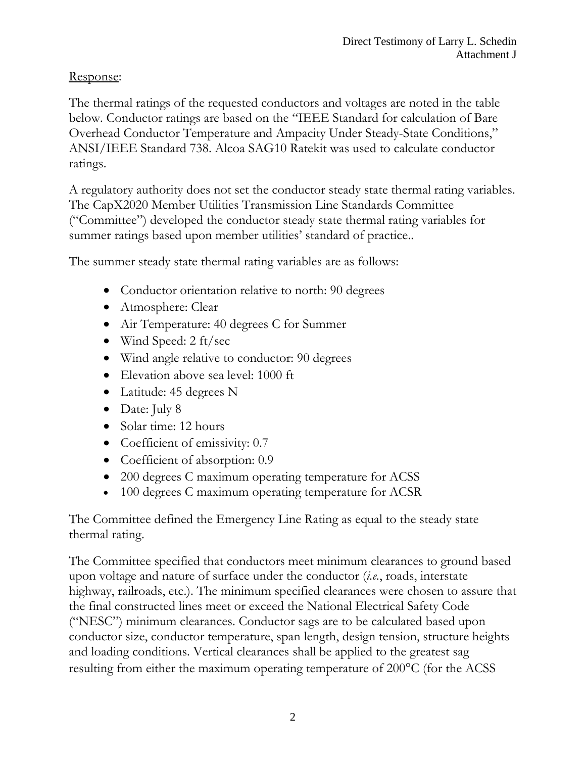#### Response:

The thermal ratings of the requested conductors and voltages are noted in the table below. Conductor ratings are based on the "IEEE Standard for calculation of Bare Overhead Conductor Temperature and Ampacity Under Steady-State Conditions," ANSI/IEEE Standard 738. Alcoa SAG10 Ratekit was used to calculate conductor ratings.

A regulatory authority does not set the conductor steady state thermal rating variables. The CapX2020 Member Utilities Transmission Line Standards Committee ("Committee") developed the conductor steady state thermal rating variables for summer ratings based upon member utilities' standard of practice..

The summer steady state thermal rating variables are as follows:

- Conductor orientation relative to north: 90 degrees
- Atmosphere: Clear
- Air Temperature: 40 degrees C for Summer
- Wind Speed: 2 ft/sec
- Wind angle relative to conductor: 90 degrees
- Elevation above sea level: 1000 ft
- Latitude: 45 degrees N
- Date: July 8
- Solar time: 12 hours
- Coefficient of emissivity: 0.7
- Coefficient of absorption: 0.9
- 200 degrees C maximum operating temperature for ACSS
- 100 degrees C maximum operating temperature for ACSR

The Committee defined the Emergency Line Rating as equal to the steady state thermal rating.

The Committee specified that conductors meet minimum clearances to ground based upon voltage and nature of surface under the conductor (*i.e.*, roads, interstate highway, railroads, etc.). The minimum specified clearances were chosen to assure that the final constructed lines meet or exceed the National Electrical Safety Code ("NESC") minimum clearances. Conductor sags are to be calculated based upon conductor size, conductor temperature, span length, design tension, structure heights and loading conditions. Vertical clearances shall be applied to the greatest sag resulting from either the maximum operating temperature of 200°C (for the ACSS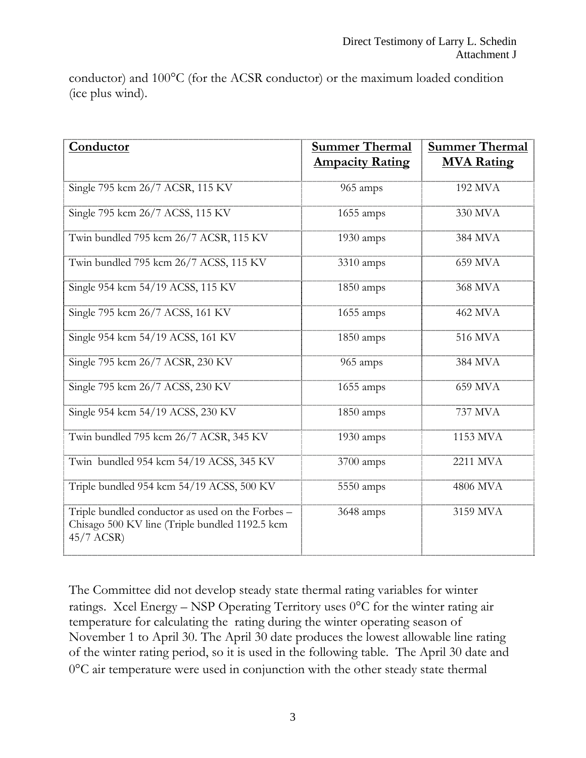conductor) and 100°C (for the ACSR conductor) or the maximum loaded condition (ice plus wind).

| Conductor                                                                                                           | <b>Summer Thermal</b><br><b>Ampacity Rating</b> | <b>Summer Thermal</b><br><b>MVA Rating</b> |
|---------------------------------------------------------------------------------------------------------------------|-------------------------------------------------|--------------------------------------------|
| Single 795 kcm 26/7 ACSR, 115 KV                                                                                    | 965 amps                                        | 192 MVA                                    |
| Single 795 kcm 26/7 ACSS, 115 KV                                                                                    | 1655 amps                                       | 330 MVA                                    |
| Twin bundled 795 kcm 26/7 ACSR, 115 KV                                                                              | $1930$ amps                                     | 384 MVA                                    |
| Twin bundled 795 kcm 26/7 ACSS, 115 KV                                                                              | 3310 amps                                       | 659 MVA                                    |
| Single 954 kcm 54/19 ACSS, 115 KV                                                                                   | $1850$ amps                                     | <b>368 MVA</b>                             |
| Single 795 kcm 26/7 ACSS, 161 KV                                                                                    | $1655$ amps                                     | <b>462 MVA</b>                             |
| Single 954 kcm 54/19 ACSS, 161 KV                                                                                   | 1850 amps                                       | 516 MVA                                    |
| Single 795 kcm 26/7 ACSR, 230 KV                                                                                    | 965 amps                                        | 384 MVA                                    |
| Single 795 kcm 26/7 ACSS, 230 KV                                                                                    | $1655$ amps                                     | 659 MVA                                    |
| Single 954 kcm 54/19 ACSS, 230 KV                                                                                   | 1850 amps                                       | 737 MVA                                    |
| Twin bundled 795 kcm 26/7 ACSR, 345 KV                                                                              | 1930 amps                                       | 1153 MVA                                   |
| Twin bundled 954 kcm 54/19 ACSS, 345 KV                                                                             | 3700 amps                                       | 2211 MVA                                   |
| Triple bundled 954 kcm 54/19 ACSS, 500 KV                                                                           | 5550 amps                                       | 4806 MVA                                   |
| Triple bundled conductor as used on the Forbes -<br>Chisago 500 KV line (Triple bundled 1192.5 kcm)<br>$45/7$ ACSR) | 3648 amps                                       | 3159 MVA                                   |

The Committee did not develop steady state thermal rating variables for winter ratings. Xcel Energy – NSP Operating Territory uses 0°C for the winter rating air temperature for calculating the rating during the winter operating season of November 1 to April 30. The April 30 date produces the lowest allowable line rating of the winter rating period, so it is used in the following table. The April 30 date and 0°C air temperature were used in conjunction with the other steady state thermal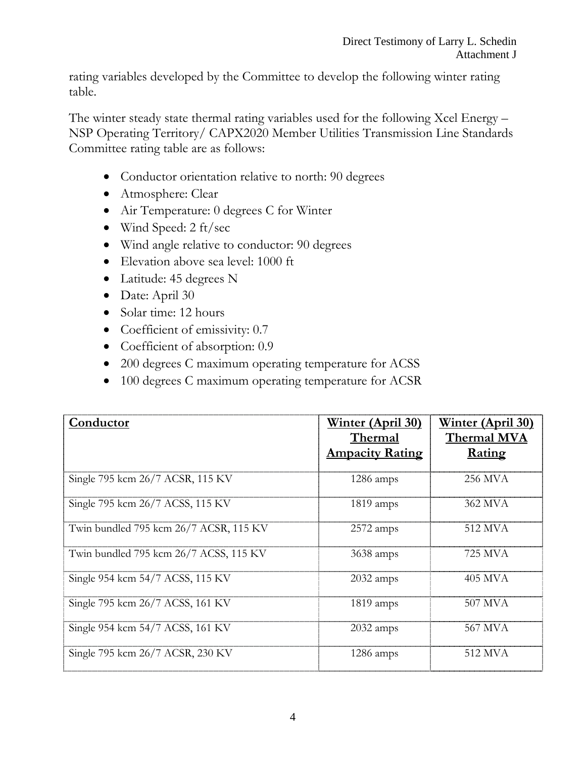rating variables developed by the Committee to develop the following winter rating table.

The winter steady state thermal rating variables used for the following Xcel Energy – NSP Operating Territory/ CAPX2020 Member Utilities Transmission Line Standards Committee rating table are as follows:

- Conductor orientation relative to north: 90 degrees
- Atmosphere: Clear
- Air Temperature: 0 degrees C for Winter
- Wind Speed: 2 ft/sec
- Wind angle relative to conductor: 90 degrees
- Elevation above sea level: 1000 ft
- Latitude: 45 degrees N
- Date: April 30
- Solar time: 12 hours
- Coefficient of emissivity: 0.7
- Coefficient of absorption: 0.9
- 200 degrees C maximum operating temperature for ACSS
- 100 degrees C maximum operating temperature for ACSR

| Conductor                              | <u>Winter (April 30)</u><br>Thermal<br><b>Ampacity Rating</b> | <u>Winter (April 30)</u><br><b>Thermal MVA</b><br>Rating |
|----------------------------------------|---------------------------------------------------------------|----------------------------------------------------------|
| Single 795 kcm 26/7 ACSR, 115 KV       | 1286 amps                                                     | 256 MVA                                                  |
| Single 795 kcm 26/7 ACSS, 115 KV       | 1819 amps                                                     | 362 MVA                                                  |
| Twin bundled 795 kcm 26/7 ACSR, 115 KV | $2572$ amps                                                   | 512 MVA                                                  |
| Twin bundled 795 kcm 26/7 ACSS, 115 KV | 3638 amps                                                     | 725 MVA                                                  |
| Single 954 kcm 54/7 ACSS, 115 KV       | $2032$ amps                                                   | 405 MVA                                                  |
| Single 795 kcm 26/7 ACSS, 161 KV       | $1819$ amps                                                   | 507 MVA                                                  |
| Single 954 kcm 54/7 ACSS, 161 KV       | 2032 amps                                                     | 567 MVA                                                  |
| Single 795 kcm 26/7 ACSR, 230 KV       | $1286 \text{ amps}$                                           | 512 MVA                                                  |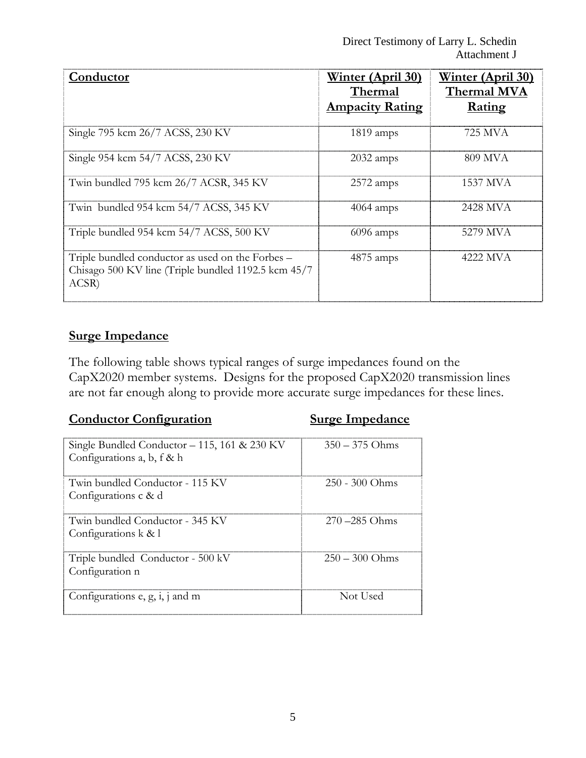| Conductor                                                                                                        | <u>Winter (April 30)</u><br>Thermal<br><b>Ampacity Rating</b> | <u>Winter (April 30)</u><br>Thermal MVA<br>Rating |
|------------------------------------------------------------------------------------------------------------------|---------------------------------------------------------------|---------------------------------------------------|
| Single 795 kcm 26/7 ACSS, 230 KV                                                                                 | 1819 amps                                                     | 725 MVA                                           |
| Single 954 kcm 54/7 ACSS, 230 KV                                                                                 | 2032 amps                                                     | 809 MVA                                           |
| Twin bundled 795 kcm 26/7 ACSR, 345 KV                                                                           | $2572$ amps                                                   | 1537 MVA                                          |
| Twin bundled 954 kcm 54/7 ACSS, 345 KV                                                                           | $4064$ amps                                                   | 2428 MVA                                          |
| Triple bundled 954 kcm 54/7 ACSS, 500 KV                                                                         | $6096$ amps                                                   | 5279 MVA                                          |
| Triple bundled conductor as used on the Forbes –<br>Chisago 500 KV line (Triple bundled 1192.5 kcm 45/7<br>ACSR) | $4875 \text{ amps}$                                           | 4222 MVA                                          |

#### **Surge Impedance**

The following table shows typical ranges of surge impedances found on the CapX2020 member systems. Designs for the proposed CapX2020 transmission lines are not far enough along to provide more accurate surge impedances for these lines.

#### **Conductor Configuration Surge Impedance**

| Single Bundled Conductor $-115$ , 161 & 230 KV<br>Configurations a, b, f & h | $350 - 375$ Ohms |
|------------------------------------------------------------------------------|------------------|
| Twin bundled Conductor - 115 KV<br>Configurations c & d                      | $250 - 300$ Ohms |
| Twin bundled Conductor - 345 KV<br>Configurations k & l                      | $270 - 285$ Ohms |
| Triple bundled Conductor - 500 kV<br>Configuration n                         | $250 - 300$ Ohms |
| Configurations e, g, i, j and m                                              | Not Used         |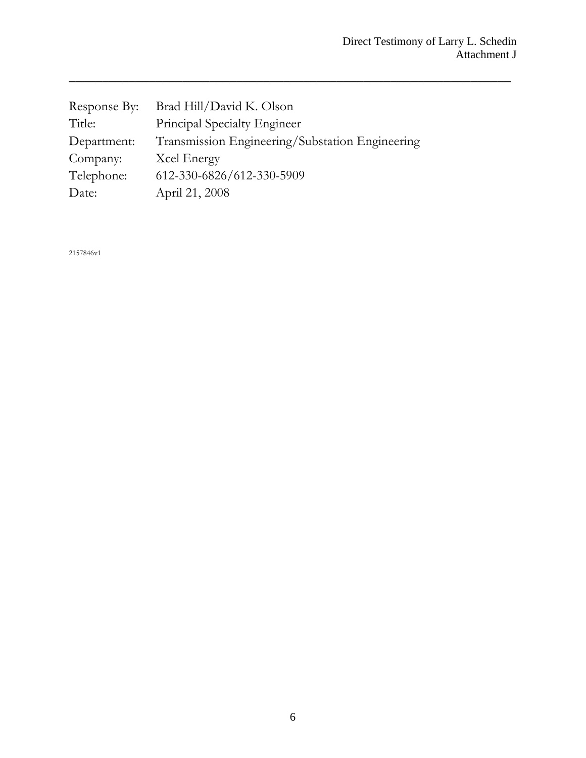| Response By: | Brad Hill/David K. Olson                        |
|--------------|-------------------------------------------------|
| Title:       | Principal Specialty Engineer                    |
| Department:  | Transmission Engineering/Substation Engineering |
| Company:     | Xcel Energy                                     |
| Telephone:   | 612-330-6826/612-330-5909                       |
| Date:        | April 21, 2008                                  |

 $\overline{\phantom{a}}$  , and the contract of the contract of the contract of the contract of the contract of the contract of the contract of the contract of the contract of the contract of the contract of the contract of the contrac

2157846v1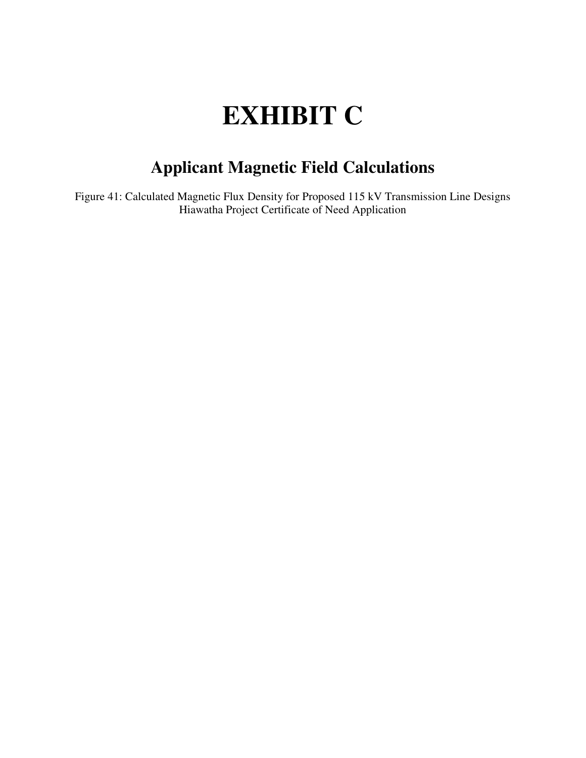# **EXHIBIT C**

### **Applicant Magnetic Field Calculations**

Figure 41: Calculated Magnetic Flux Density for Proposed 115 kV Transmission Line Designs Hiawatha Project Certificate of Need Application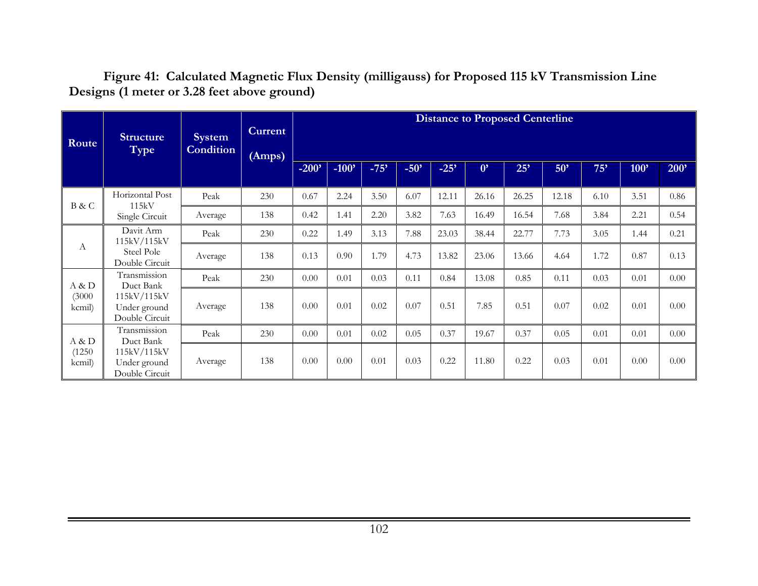**Figure 41: Calculated Magnetic Flux Density (milligauss) for Proposed 115 kV Transmission Line Designs (1 meter or 3.28 feet above ground)** 

| Route            | <b>Structure</b><br>Type                      | <b>System</b><br><b>Condition</b> | <b>Current</b><br>(Amps) |          |         |        |        |        |             | <b>Distance to Proposed Centerline</b> |       |      |         |      |
|------------------|-----------------------------------------------|-----------------------------------|--------------------------|----------|---------|--------|--------|--------|-------------|----------------------------------------|-------|------|---------|------|
|                  |                                               |                                   |                          | $-200'$  | $-100'$ | $-75'$ | $-50'$ | $-25'$ | $0^{\circ}$ | 25'                                    | 50'   | 75'  | $100$ ' | 200' |
|                  | Horizontal Post<br>115kV                      | Peak                              | 230                      | 0.67     | 2.24    | 3.50   | 6.07   | 12.11  | 26.16       | 26.25                                  | 12.18 | 6.10 | 3.51    | 0.86 |
| B & C            | Single Circuit                                | Average                           | 138                      | 0.42     | 1.41    | 2.20   | 3.82   | 7.63   | 16.49       | 16.54                                  | 7.68  | 3.84 | 2.21    | 0.54 |
|                  | Davit Arm<br>115kV/115kV                      | Peak                              | 230                      | 0.22     | 1.49    | 3.13   | 7.88   | 23.03  | 38.44       | 22.77                                  | 7.73  | 3.05 | 1.44    | 0.21 |
| А                | Steel Pole<br>Double Circuit                  | Average                           | 138                      | 0.13     | 0.90    | 1.79   | 4.73   | 13.82  | 23.06       | 13.66                                  | 4.64  | 1.72 | 0.87    | 0.13 |
| A & D            | Transmission<br>Duct Bank                     | Peak                              | 230                      | 0.00     | 0.01    | 0.03   | 0.11   | 0.84   | 13.08       | 0.85                                   | 0.11  | 0.03 | 0.01    | 0.00 |
| (3000)<br>kcmil) | 115kV/115kV<br>Under ground<br>Double Circuit | Average                           | 138                      | 0.00     | 0.01    | 0.02   | 0.07   | 0.51   | 7.85        | 0.51                                   | 0.07  | 0.02 | 0.01    | 0.00 |
| A & D            | Transmission<br>Duct Bank                     | Peak                              | 230                      | $0.00\,$ | 0.01    | 0.02   | 0.05   | 0.37   | 19.67       | 0.37                                   | 0.05  | 0.01 | 0.01    | 0.00 |
| (1250)<br>kcmil) | 115kV/115kV<br>Under ground<br>Double Circuit | Average                           | 138                      | 0.00     | 0.00    | 0.01   | 0.03   | 0.22   | 11.80       | 0.22                                   | 0.03  | 0.01 | 0.00    | 0.00 |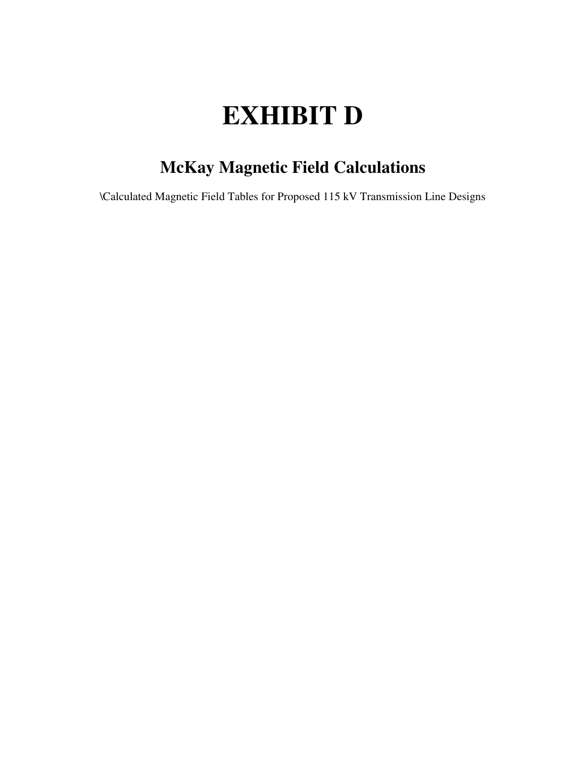# **EXHIBIT D**

# **McKay Magnetic Field Calculations**

\Calculated Magnetic Field Tables for Proposed 115 kV Transmission Line Designs